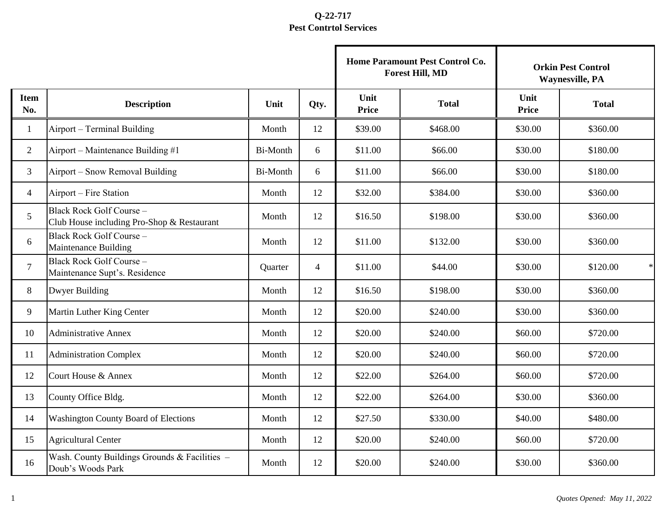|                    |                                                                        |          |                |                      | Home Paramount Pest Control Co.<br><b>Forest Hill, MD</b> | <b>Orkin Pest Control</b><br><b>Waynesville, PA</b> |                    |  |
|--------------------|------------------------------------------------------------------------|----------|----------------|----------------------|-----------------------------------------------------------|-----------------------------------------------------|--------------------|--|
| <b>Item</b><br>No. | <b>Description</b>                                                     | Unit     | Qty.           | Unit<br><b>Price</b> | <b>Total</b>                                              | Unit<br><b>Price</b>                                | <b>Total</b>       |  |
| $\mathbf{1}$       | Airport - Terminal Building                                            | Month    | 12             | \$39.00              | \$468.00                                                  | \$30.00                                             | \$360.00           |  |
| $\overline{2}$     | Airport – Maintenance Building #1                                      | Bi-Month | 6              | \$11.00              | \$66.00                                                   | \$30.00                                             | \$180.00           |  |
| 3                  | Airport - Snow Removal Building                                        | Bi-Month | 6              | \$11.00              | \$66.00                                                   | \$30.00                                             | \$180.00           |  |
| $\overline{4}$     | Airport – Fire Station                                                 | Month    | 12             | \$32.00              | \$384.00                                                  | \$30.00                                             | \$360.00           |  |
| 5                  | Black Rock Golf Course -<br>Club House including Pro-Shop & Restaurant | Month    | 12             | \$16.50              | \$198.00                                                  | \$30.00                                             | \$360.00           |  |
| 6                  | Black Rock Golf Course -<br>Maintenance Building                       | Month    | 12             | \$11.00              | \$132.00                                                  | \$30.00                                             | \$360.00           |  |
| $\overline{7}$     | Black Rock Golf Course -<br>Maintenance Supt's. Residence              | Quarter  | $\overline{4}$ | \$11.00              | \$44.00                                                   | \$30.00                                             | \$120.00<br>$\ast$ |  |
| 8                  | <b>Dwyer Building</b>                                                  | Month    | 12             | \$16.50              | \$198.00                                                  | \$30.00                                             | \$360.00           |  |
| 9                  | Martin Luther King Center                                              | Month    | 12             | \$20.00              | \$240.00                                                  | \$30.00                                             | \$360.00           |  |
| 10                 | <b>Administrative Annex</b>                                            | Month    | 12             | \$20.00              | \$240.00                                                  | \$60.00                                             | \$720.00           |  |
| 11                 | <b>Administration Complex</b>                                          | Month    | 12             | \$20.00              | \$240.00                                                  | \$60.00                                             | \$720.00           |  |
| 12                 | Court House & Annex                                                    | Month    | 12             | \$22.00              | \$264.00                                                  | \$60.00                                             | \$720.00           |  |
| 13                 | County Office Bldg.                                                    | Month    | 12             | \$22.00              | \$264.00                                                  | \$30.00                                             | \$360.00           |  |
| 14                 | Washington County Board of Elections                                   | Month    | 12             | \$27.50              | \$330.00                                                  | \$40.00                                             | \$480.00           |  |
| 15                 | <b>Agricultural Center</b>                                             | Month    | 12             | \$20.00              | \$240.00                                                  | \$60.00                                             | \$720.00           |  |
| 16                 | Wash. County Buildings Grounds & Facilities -<br>Doub's Woods Park     | Month    | 12             | \$20.00              | \$240.00                                                  | \$30.00                                             | \$360.00           |  |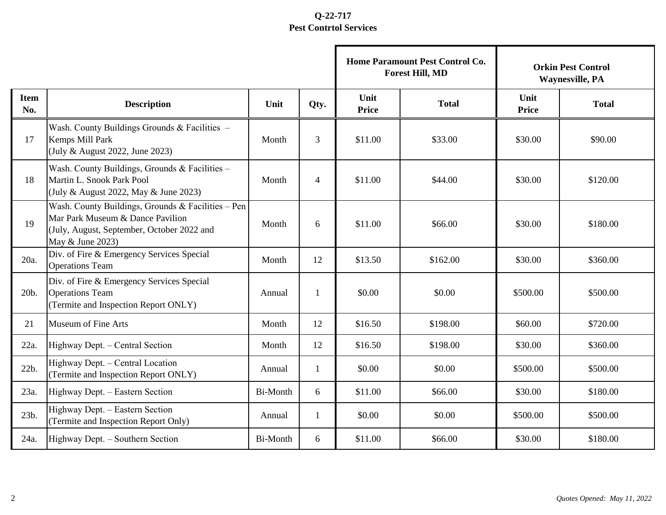|                    |                                                                                                                                                          |                 |                |                      | Home Paramount Pest Control Co.<br><b>Forest Hill, MD</b> | <b>Orkin Pest Control</b><br><b>Waynesville, PA</b> |              |  |
|--------------------|----------------------------------------------------------------------------------------------------------------------------------------------------------|-----------------|----------------|----------------------|-----------------------------------------------------------|-----------------------------------------------------|--------------|--|
| <b>Item</b><br>No. | <b>Description</b>                                                                                                                                       | Unit            | Qty.           | Unit<br><b>Price</b> | <b>Total</b>                                              | Unit<br><b>Price</b>                                | <b>Total</b> |  |
| 17                 | Wash. County Buildings Grounds & Facilities -<br>Kemps Mill Park<br>(July & August 2022, June 2023)                                                      | Month           | 3              | \$11.00              | \$33.00                                                   | \$30.00                                             | \$90.00      |  |
| 18                 | Wash. County Buildings, Grounds & Facilities -<br>Martin L. Snook Park Pool<br>(July & August 2022, May & June 2023)                                     | Month           | $\overline{4}$ | \$11.00              | \$44.00                                                   | \$30.00                                             | \$120.00     |  |
| 19                 | Wash. County Buildings, Grounds & Facilities - Pen<br>Mar Park Museum & Dance Pavilion<br>(July, August, September, October 2022 and<br>May & June 2023) | Month           | 6              | \$11.00              | \$66.00                                                   | \$30.00                                             | \$180.00     |  |
| 20a.               | Div. of Fire & Emergency Services Special<br><b>Operations Team</b>                                                                                      | Month           | 12             | \$13.50              | \$162.00                                                  | \$30.00                                             | \$360.00     |  |
| 20b.               | Div. of Fire & Emergency Services Special<br><b>Operations Team</b><br>(Termite and Inspection Report ONLY)                                              | Annual          | 1              | \$0.00               | \$0.00                                                    | \$500.00                                            | \$500.00     |  |
| 21                 | <b>Museum of Fine Arts</b>                                                                                                                               | Month           | 12             | \$16.50              | \$198.00                                                  | \$60.00                                             | \$720.00     |  |
| 22a.               | Highway Dept. - Central Section                                                                                                                          | Month           | 12             | \$16.50              | \$198.00                                                  | \$30.00                                             | \$360.00     |  |
| 22b.               | Highway Dept. - Central Location<br>(Termite and Inspection Report ONLY)                                                                                 | Annual          | 1              | \$0.00               | \$0.00                                                    | \$500.00                                            | \$500.00     |  |
| 23a.               | Highway Dept. - Eastern Section                                                                                                                          | <b>Bi-Month</b> | 6              | \$11.00              | \$66.00                                                   | \$30.00                                             | \$180.00     |  |
| 23b.               | Highway Dept. - Eastern Section<br>(Termite and Inspection Report Only)                                                                                  | Annual          | 1              | \$0.00               | \$0.00                                                    | \$500.00                                            | \$500.00     |  |
| 24a.               | Highway Dept. - Southern Section                                                                                                                         | Bi-Month        | 6              | \$11.00              | \$66.00                                                   | \$30.00                                             | \$180.00     |  |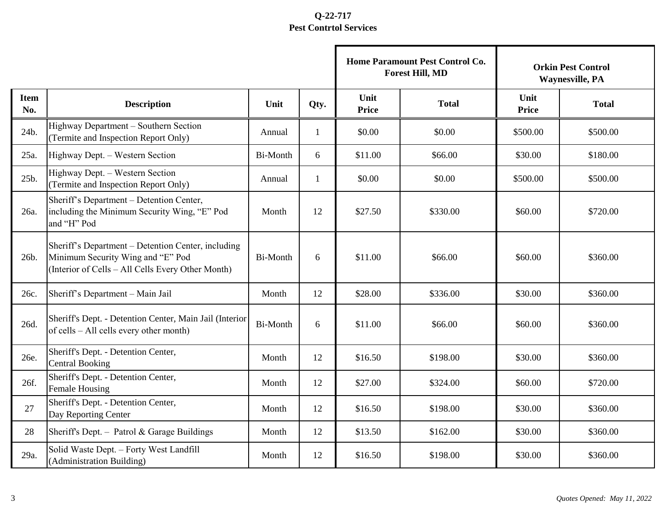|                    |                                                                                                                                              |                 |              |                      | Home Paramount Pest Control Co.<br><b>Forest Hill, MD</b> | <b>Orkin Pest Control</b><br><b>Waynesville, PA</b> |              |  |
|--------------------|----------------------------------------------------------------------------------------------------------------------------------------------|-----------------|--------------|----------------------|-----------------------------------------------------------|-----------------------------------------------------|--------------|--|
| <b>Item</b><br>No. | <b>Description</b>                                                                                                                           | Unit            | Qty.         | Unit<br><b>Price</b> | <b>Total</b>                                              | Unit<br><b>Price</b>                                | <b>Total</b> |  |
| 24b.               | Highway Department - Southern Section<br>(Termite and Inspection Report Only)                                                                | Annual          | 1            | \$0.00               | \$0.00                                                    | \$500.00                                            | \$500.00     |  |
| 25a.               | Highway Dept. - Western Section                                                                                                              | Bi-Month        | 6            | \$11.00              | \$66.00                                                   | \$30.00                                             | \$180.00     |  |
| 25b.               | Highway Dept. - Western Section<br>(Termite and Inspection Report Only)                                                                      | Annual          | $\mathbf{1}$ | \$0.00               | \$0.00                                                    | \$500.00                                            | \$500.00     |  |
| 26a.               | Sheriff's Department - Detention Center,<br>including the Minimum Security Wing, "E" Pod<br>and "H" Pod                                      | Month           | 12           | \$27.50              | \$330.00                                                  | \$60.00                                             | \$720.00     |  |
| 26b.               | Sheriff's Department – Detention Center, including<br>Minimum Security Wing and "E" Pod<br>(Interior of Cells – All Cells Every Other Month) | <b>Bi-Month</b> | 6            | \$11.00              | \$66.00                                                   | \$60.00                                             | \$360.00     |  |
| 26c.               | Sheriff's Department - Main Jail                                                                                                             | Month           | 12           | \$28.00              | \$336.00                                                  | \$30.00                                             | \$360.00     |  |
| 26d.               | Sheriff's Dept. - Detention Center, Main Jail (Interior<br>of cells – All cells every other month)                                           | <b>Bi-Month</b> | 6            | \$11.00              | \$66.00                                                   | \$60.00                                             | \$360.00     |  |
| 26e.               | Sheriff's Dept. - Detention Center,<br><b>Central Booking</b>                                                                                | Month           | 12           | \$16.50              | \$198.00                                                  | \$30.00                                             | \$360.00     |  |
| 26f.               | Sheriff's Dept. - Detention Center,<br>Female Housing                                                                                        | Month           | 12           | \$27.00              | \$324.00                                                  | \$60.00                                             | \$720.00     |  |
| 27                 | Sheriff's Dept. - Detention Center,<br>Day Reporting Center                                                                                  | Month           | 12           | \$16.50              | \$198.00                                                  | \$30.00                                             | \$360.00     |  |
| 28                 | Sheriff's Dept. - Patrol & Garage Buildings                                                                                                  | Month           | 12           | \$13.50              | \$162.00                                                  | \$30.00                                             | \$360.00     |  |
| 29a.               | Solid Waste Dept. - Forty West Landfill<br>(Administration Building)                                                                         | Month           | 12           | \$16.50              | \$198.00                                                  | \$30.00                                             | \$360.00     |  |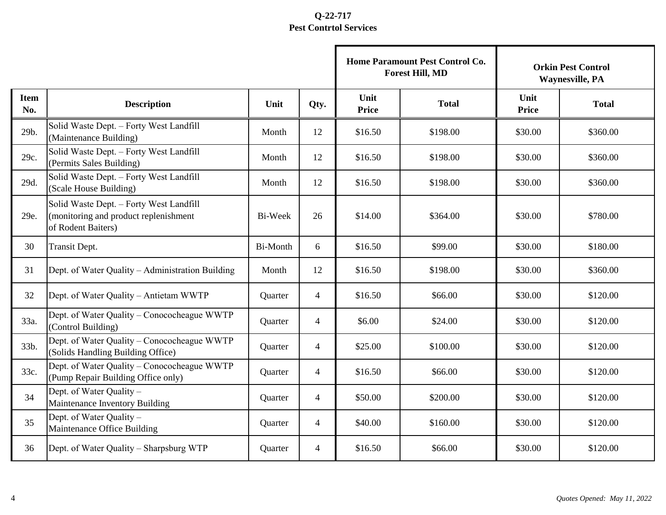|                    |                                                                                                        |          |                |                      | Home Paramount Pest Control Co.<br><b>Forest Hill, MD</b> | <b>Orkin Pest Control</b><br><b>Waynesville, PA</b> |              |  |
|--------------------|--------------------------------------------------------------------------------------------------------|----------|----------------|----------------------|-----------------------------------------------------------|-----------------------------------------------------|--------------|--|
| <b>Item</b><br>No. | <b>Description</b>                                                                                     | Unit     | Qty.           | Unit<br><b>Price</b> | <b>Total</b>                                              | Unit<br><b>Price</b>                                | <b>Total</b> |  |
| 29b.               | Solid Waste Dept. - Forty West Landfill<br>(Maintenance Building)                                      | Month    | 12             | \$16.50              | \$198.00                                                  | \$30.00                                             | \$360.00     |  |
| 29c.               | Solid Waste Dept. - Forty West Landfill<br>(Permits Sales Building)                                    | Month    | 12             | \$16.50              | \$198.00                                                  | \$30.00                                             | \$360.00     |  |
| 29d.               | Solid Waste Dept. - Forty West Landfill<br>(Scale House Building)                                      | Month    | 12             | \$16.50              | \$198.00                                                  | \$30.00                                             | \$360.00     |  |
| 29e.               | Solid Waste Dept. - Forty West Landfill<br>(monitoring and product replenishment<br>of Rodent Baiters) | Bi-Week  | 26             | \$14.00              | \$364.00                                                  | \$30.00                                             | \$780.00     |  |
| 30                 | Transit Dept.                                                                                          | Bi-Month | 6              | \$16.50              | \$99.00                                                   | \$30.00                                             | \$180.00     |  |
| 31                 | Dept. of Water Quality - Administration Building                                                       | Month    | 12             | \$16.50              | \$198.00                                                  | \$30.00                                             | \$360.00     |  |
| 32                 | Dept. of Water Quality - Antietam WWTP                                                                 | Quarter  | $\overline{4}$ | \$16.50              | \$66.00                                                   | \$30.00                                             | \$120.00     |  |
| 33a.               | Dept. of Water Quality - Conococheague WWTP<br>(Control Building)                                      | Quarter  | $\overline{4}$ | \$6.00               | \$24.00                                                   | \$30.00                                             | \$120.00     |  |
| 33b.               | Dept. of Water Quality - Conococheague WWTP<br>(Solids Handling Building Office)                       | Quarter  | $\overline{4}$ | \$25.00              | \$100.00                                                  | \$30.00                                             | \$120.00     |  |
| 33c.               | Dept. of Water Quality - Conococheague WWTP<br>(Pump Repair Building Office only)                      | Quarter  | $\overline{4}$ | \$16.50              | \$66.00                                                   | \$30.00                                             | \$120.00     |  |
| 34                 | Dept. of Water Quality -<br>Maintenance Inventory Building                                             | Quarter  | $\overline{4}$ | \$50.00              | \$200.00                                                  | \$30.00                                             | \$120.00     |  |
| 35                 | Dept. of Water Quality -<br>Maintenance Office Building                                                | Quarter  | 4              | \$40.00              | \$160.00                                                  | \$30.00                                             | \$120.00     |  |
| 36                 | Dept. of Water Quality – Sharpsburg WTP                                                                | Quarter  | 4              | \$16.50              | \$66.00                                                   | \$30.00                                             | \$120.00     |  |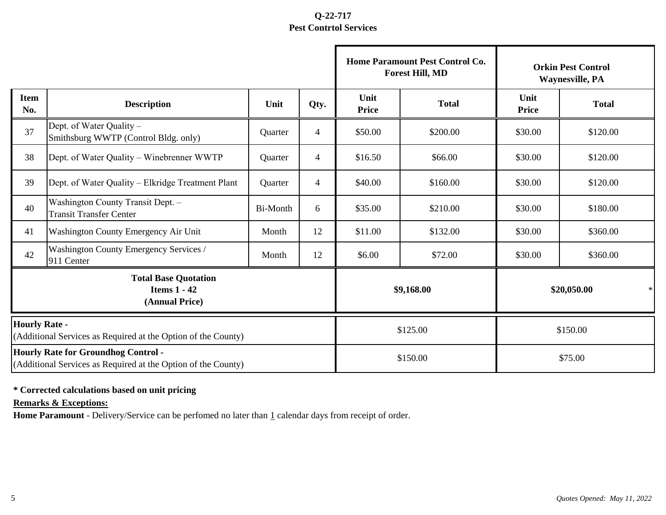|                                                                                       |                                                                                                             |                 |                |                      | Home Paramount Pest Control Co.<br><b>Forest Hill, MD</b> | <b>Orkin Pest Control</b><br><b>Waynesville, PA</b> |              |  |
|---------------------------------------------------------------------------------------|-------------------------------------------------------------------------------------------------------------|-----------------|----------------|----------------------|-----------------------------------------------------------|-----------------------------------------------------|--------------|--|
| <b>Item</b><br>No.                                                                    | <b>Description</b>                                                                                          | Unit            | Qty.           | Unit<br><b>Price</b> | <b>Total</b>                                              | Unit<br><b>Price</b>                                | <b>Total</b> |  |
| 37                                                                                    | Dept. of Water Quality -<br>Smithsburg WWTP (Control Bldg. only)                                            | Quarter         | $\overline{4}$ | \$50.00              | \$200.00                                                  | \$30.00                                             | \$120.00     |  |
| 38                                                                                    | Dept. of Water Quality - Winebrenner WWTP                                                                   | Quarter         | $\overline{4}$ | \$16.50              | \$66.00                                                   | \$30.00                                             | \$120.00     |  |
| 39                                                                                    | Dept. of Water Quality – Elkridge Treatment Plant                                                           | Quarter         | $\overline{4}$ | \$40.00              | \$160.00                                                  | \$30.00                                             | \$120.00     |  |
| 40                                                                                    | Washington County Transit Dept. -<br><b>Transit Transfer Center</b>                                         | <b>Bi-Month</b> | 6              | \$35.00              | \$210.00                                                  | \$30.00                                             | \$180.00     |  |
| 41                                                                                    | Washington County Emergency Air Unit                                                                        | Month           | 12             | \$11.00              | \$132.00                                                  | \$30.00                                             | \$360.00     |  |
| 42                                                                                    | Washington County Emergency Services /<br>911 Center                                                        | Month           | 12             | \$6.00<br>\$72.00    |                                                           | \$30.00                                             | \$360.00     |  |
| <b>Total Base Quotation</b><br><b>Items 1 - 42</b><br>(Annual Price)                  |                                                                                                             |                 |                |                      | \$9,168.00                                                | \$20,050.00<br>$\ast$                               |              |  |
| <b>Hourly Rate -</b><br>(Additional Services as Required at the Option of the County) |                                                                                                             |                 |                | \$125.00             | \$150.00                                                  |                                                     |              |  |
|                                                                                       | <b>Hourly Rate for Groundhog Control -</b><br>(Additional Services as Required at the Option of the County) |                 |                |                      | \$150.00                                                  | \$75.00                                             |              |  |

#### **\* Corrected calculations based on unit pricing**

**Remarks & Exceptions:**

Home Paramount - Delivery/Service can be perfomed no later than 1 calendar days from receipt of order.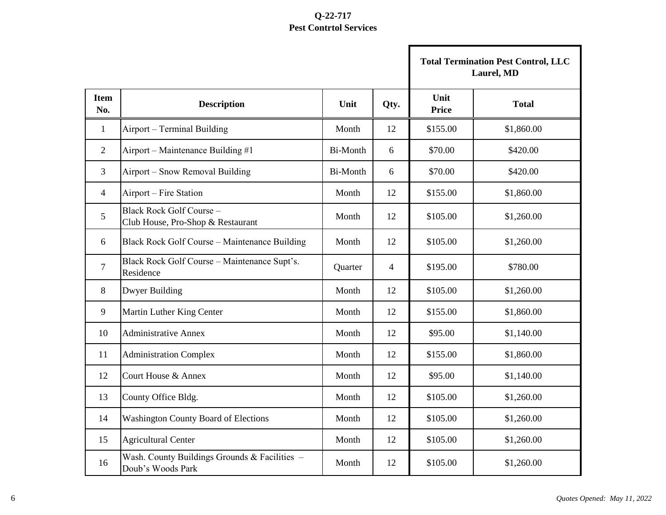|                    |                                                                      |                 |                |                      | <b>Total Termination Pest Control, LLC</b><br>Laurel, MD |
|--------------------|----------------------------------------------------------------------|-----------------|----------------|----------------------|----------------------------------------------------------|
| <b>Item</b><br>No. | <b>Description</b>                                                   | Unit            | Qty.           | Unit<br><b>Price</b> | <b>Total</b>                                             |
| $\mathbf{1}$       | Airport - Terminal Building                                          | Month           | 12             | \$155.00             | \$1,860.00                                               |
| 2                  | Airport – Maintenance Building #1                                    | <b>Bi-Month</b> | 6              | \$70.00              | \$420.00                                                 |
| 3                  | Airport – Snow Removal Building                                      | <b>Bi-Month</b> | 6              | \$70.00              | \$420.00                                                 |
| 4                  | Airport – Fire Station                                               | Month           | 12             | \$155.00             | \$1,860.00                                               |
| 5                  | <b>Black Rock Golf Course -</b><br>Club House, Pro-Shop & Restaurant | Month           | 12             | \$105.00             | \$1,260.00                                               |
| 6                  | Black Rock Golf Course - Maintenance Building                        | Month           | 12             | \$105.00             | \$1,260.00                                               |
| 7                  | Black Rock Golf Course - Maintenance Supt's.<br>Residence            | Quarter         | $\overline{4}$ | \$195.00             | \$780.00                                                 |
| 8                  | Dwyer Building                                                       | Month           | 12             | \$105.00             | \$1,260.00                                               |
| 9                  | Martin Luther King Center                                            | Month           | 12             | \$155.00             | \$1,860.00                                               |
| 10                 | <b>Administrative Annex</b>                                          | Month           | 12             | \$95.00              | \$1,140.00                                               |
| 11                 | <b>Administration Complex</b>                                        | Month           | 12             | \$155.00             | \$1,860.00                                               |
| 12                 | Court House & Annex                                                  | Month           | 12             | \$95.00              | \$1,140.00                                               |
| 13                 | County Office Bldg.                                                  | Month           | 12             | \$105.00             | \$1,260.00                                               |
| 14                 | <b>Washington County Board of Elections</b>                          | Month           | 12             | \$105.00             | \$1,260.00                                               |
| 15                 | <b>Agricultural Center</b>                                           | Month           | 12             | \$105.00             | \$1,260.00                                               |
| 16                 | Wash. County Buildings Grounds & Facilities -<br>Doub's Woods Park   | Month           | 12             | \$105.00             | \$1,260.00                                               |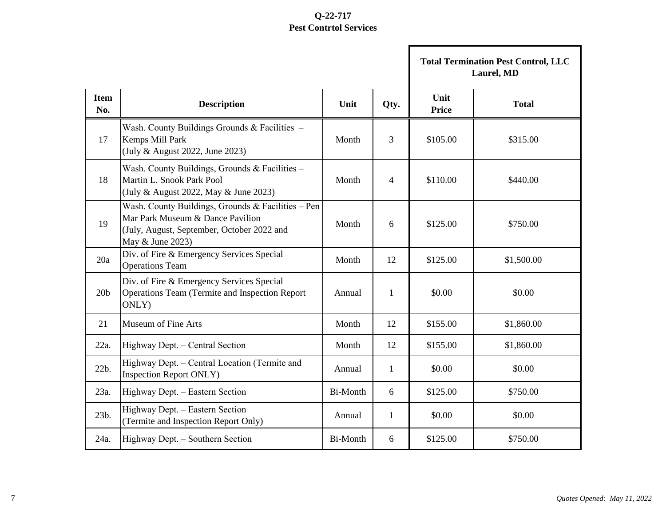п

|                    |                                                                                                                                                          |          |              | <b>Total Termination Pest Control, LLC</b><br>Laurel, MD |              |  |
|--------------------|----------------------------------------------------------------------------------------------------------------------------------------------------------|----------|--------------|----------------------------------------------------------|--------------|--|
| <b>Item</b><br>No. | <b>Description</b>                                                                                                                                       | Unit     | Qty.         | Unit<br><b>Price</b>                                     | <b>Total</b> |  |
| 17                 | Wash. County Buildings Grounds & Facilities -<br>Kemps Mill Park<br>(July & August 2022, June 2023)                                                      | Month    | 3            | \$105.00                                                 | \$315.00     |  |
| 18                 | Wash. County Buildings, Grounds & Facilities -<br>Martin L. Snook Park Pool<br>(July & August 2022, May & June 2023)                                     | Month    | 4            | \$110.00                                                 | \$440.00     |  |
| 19                 | Wash. County Buildings, Grounds & Facilities - Pen<br>Mar Park Museum & Dance Pavilion<br>(July, August, September, October 2022 and<br>May & June 2023) | Month    | 6            | \$125.00                                                 | \$750.00     |  |
| 20a                | Div. of Fire & Emergency Services Special<br><b>Operations Team</b>                                                                                      | Month    | 12           | \$125.00                                                 | \$1,500.00   |  |
| 20 <sub>b</sub>    | Div. of Fire & Emergency Services Special<br>Operations Team (Termite and Inspection Report<br>ONLY)                                                     | Annual   | $\mathbf{1}$ | \$0.00                                                   | \$0.00       |  |
| 21                 | <b>Museum of Fine Arts</b>                                                                                                                               | Month    | 12           | \$155.00                                                 | \$1,860.00   |  |
| 22a.               | Highway Dept. - Central Section                                                                                                                          | Month    | 12           | \$155.00                                                 | \$1,860.00   |  |
| 22b.               | Highway Dept. - Central Location (Termite and<br><b>Inspection Report ONLY)</b>                                                                          | Annual   | $\mathbf{1}$ | \$0.00                                                   | \$0.00       |  |
| 23a.               | Highway Dept. - Eastern Section                                                                                                                          | Bi-Month | 6            | \$125.00                                                 | \$750.00     |  |
| 23b.               | Highway Dept. - Eastern Section<br>(Termite and Inspection Report Only)                                                                                  | Annual   | 1            | \$0.00                                                   | \$0.00       |  |
| 24a.               | Highway Dept. - Southern Section                                                                                                                         | Bi-Month | 6            | \$125.00                                                 | \$750.00     |  |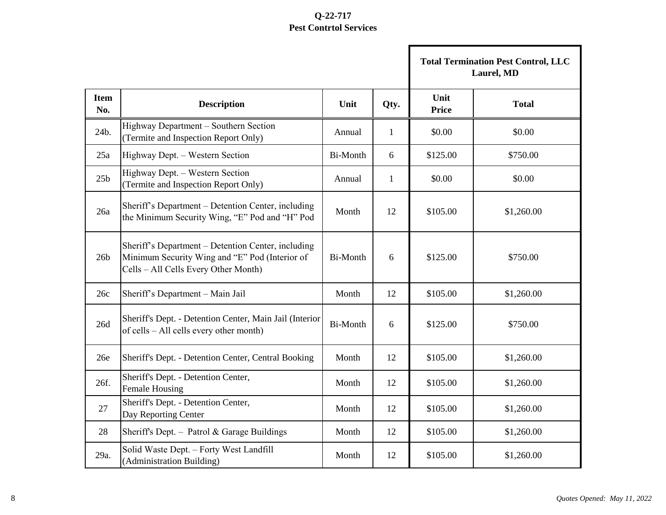|                    |                                                                                                                                              |          |              |                      | <b>Total Termination Pest Control, LLC</b><br>Laurel, MD |
|--------------------|----------------------------------------------------------------------------------------------------------------------------------------------|----------|--------------|----------------------|----------------------------------------------------------|
| <b>Item</b><br>No. | <b>Description</b>                                                                                                                           | Unit     | Qty.         | Unit<br><b>Price</b> | <b>Total</b>                                             |
| 24b.               | Highway Department - Southern Section<br>(Termite and Inspection Report Only)                                                                | Annual   | $\mathbf{1}$ | \$0.00               | \$0.00                                                   |
| 25a                | Highway Dept. - Western Section                                                                                                              | Bi-Month | 6            | \$125.00             | \$750.00                                                 |
| 25 <sub>b</sub>    | Highway Dept. - Western Section<br>(Termite and Inspection Report Only)                                                                      | Annual   | $\mathbf{1}$ | \$0.00               | \$0.00                                                   |
| 26a                | Sheriff's Department - Detention Center, including<br>the Minimum Security Wing, "E" Pod and "H" Pod                                         | Month    | 12           | \$105.00             | \$1,260.00                                               |
| 26 <sub>b</sub>    | Sheriff's Department - Detention Center, including<br>Minimum Security Wing and "E" Pod (Interior of<br>Cells - All Cells Every Other Month) | Bi-Month | 6            | \$125.00             | \$750.00                                                 |
| 26c                | Sheriff's Department - Main Jail                                                                                                             | Month    | 12           | \$105.00             | \$1,260.00                                               |
| 26d                | Sheriff's Dept. - Detention Center, Main Jail (Interior<br>of cells - All cells every other month)                                           | Bi-Month | 6            | \$125.00             | \$750.00                                                 |
| 26e                | Sheriff's Dept. - Detention Center, Central Booking                                                                                          | Month    | 12           | \$105.00             | \$1,260.00                                               |
| 26f.               | Sheriff's Dept. - Detention Center,<br>Female Housing                                                                                        | Month    | 12           | \$105.00             | \$1,260.00                                               |
| 27                 | Sheriff's Dept. - Detention Center,<br>Day Reporting Center                                                                                  | Month    | 12           | \$105.00             | \$1,260.00                                               |
| 28                 | Sheriff's Dept. - Patrol & Garage Buildings                                                                                                  | Month    | 12           | \$105.00             | \$1,260.00                                               |
| 29a.               | Solid Waste Dept. - Forty West Landfill<br>(Administration Building)                                                                         | Month    | 12           | \$105.00             | \$1,260.00                                               |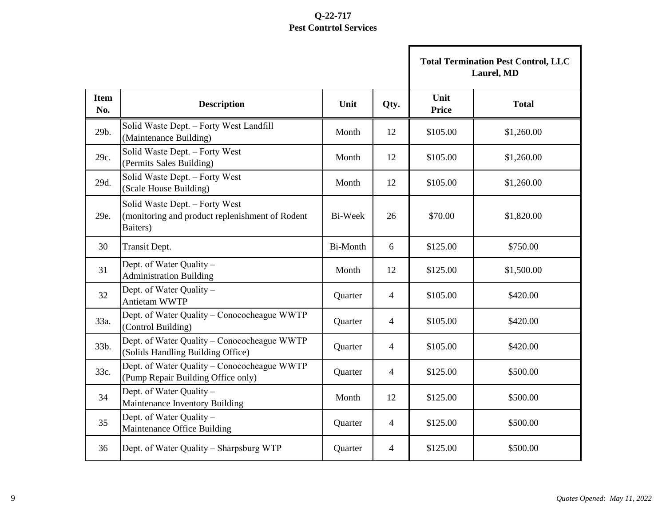|                    |                                                                                               |                 |                |               | <b>Total Termination Pest Control, LLC</b><br>Laurel, MD |
|--------------------|-----------------------------------------------------------------------------------------------|-----------------|----------------|---------------|----------------------------------------------------------|
| <b>Item</b><br>No. | <b>Description</b>                                                                            | Unit            | Qty.           | Unit<br>Price | <b>Total</b>                                             |
| 29b.               | Solid Waste Dept. - Forty West Landfill<br>(Maintenance Building)                             | Month           | 12             | \$105.00      | \$1,260.00                                               |
| 29c.               | Solid Waste Dept. - Forty West<br>(Permits Sales Building)                                    | Month           | 12             | \$105.00      | \$1,260.00                                               |
| 29d.               | Solid Waste Dept. - Forty West<br>(Scale House Building)                                      | Month           | 12             | \$105.00      | \$1,260.00                                               |
| 29e.               | Solid Waste Dept. - Forty West<br>(monitoring and product replenishment of Rodent<br>Baiters) | Bi-Week         | 26             | \$70.00       | \$1,820.00                                               |
| 30                 | Transit Dept.                                                                                 | <b>Bi-Month</b> | 6              | \$125.00      | \$750.00                                                 |
| 31                 | Dept. of Water Quality -<br><b>Administration Building</b>                                    | Month           | 12             | \$125.00      | \$1,500.00                                               |
| 32                 | Dept. of Water Quality -<br>Antietam WWTP                                                     | Quarter         | 4              | \$105.00      | \$420.00                                                 |
| 33a.               | Dept. of Water Quality – Conococheague WWTP<br>(Control Building)                             | Quarter         | 4              | \$105.00      | \$420.00                                                 |
| 33b.               | Dept. of Water Quality - Conococheague WWTP<br>(Solids Handling Building Office)              | Quarter         | $\overline{4}$ | \$105.00      | \$420.00                                                 |
| 33c.               | Dept. of Water Quality - Conococheague WWTP<br>(Pump Repair Building Office only)             | Quarter         | 4              | \$125.00      | \$500.00                                                 |
| 34                 | Dept. of Water Quality -<br>Maintenance Inventory Building                                    | Month           | 12             | \$125.00      | \$500.00                                                 |
| 35                 | Dept. of Water Quality -<br>Maintenance Office Building                                       | Quarter         | 4              | \$125.00      | \$500.00                                                 |
| 36                 | Dept. of Water Quality – Sharpsburg WTP                                                       | Quarter         | 4              | \$125.00      | \$500.00                                                 |